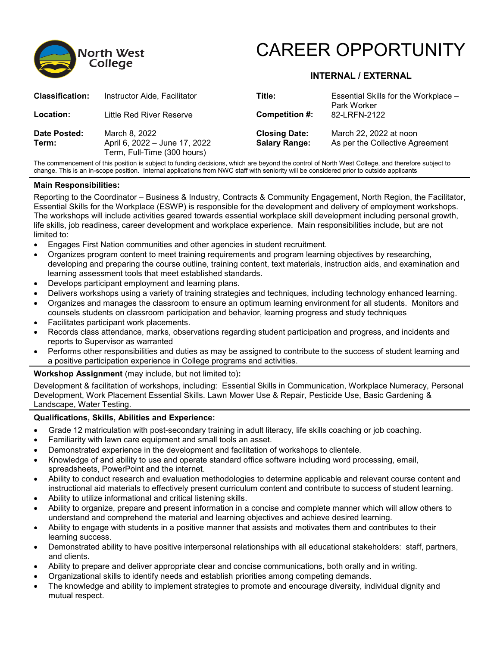



# **INTERNAL / EXTERNAL**

| <b>Classification:</b> | Instructor Aide, Facilitator                                                  | Title:                                       | Essential Skills for the Workplace -<br>Park Worker       |
|------------------------|-------------------------------------------------------------------------------|----------------------------------------------|-----------------------------------------------------------|
| Location:              | Little Red River Reserve                                                      | Competition #:                               | 82-LRFN-2122                                              |
| Date Posted:<br>Term:  | March 8, 2022<br>April 6, 2022 - June 17, 2022<br>Term, Full-Time (300 hours) | <b>Closing Date:</b><br><b>Salary Range:</b> | March 22, 2022 at noon<br>As per the Collective Agreement |

The commencement of this position is subject to funding decisions, which are beyond the control of North West College, and therefore subject to change. This is an in-scope position. Internal applications from NWC staff with seniority will be considered prior to outside applicants

# **Main Responsibilities:**

Reporting to the Coordinator – Business & Industry, Contracts & Community Engagement, North Region, the Facilitator, Essential Skills for the Workplace (ESWP) is responsible for the development and delivery of employment workshops. The workshops will include activities geared towards essential workplace skill development including personal growth, life skills, job readiness, career development and workplace experience. Main responsibilities include, but are not limited to:

- Engages First Nation communities and other agencies in student recruitment.
- Organizes program content to meet training requirements and program learning objectives by researching, developing and preparing the course outline, training content, text materials, instruction aids, and examination and learning assessment tools that meet established standards.
- Develops participant employment and learning plans.
- Delivers workshops using a variety of training strategies and techniques, including technology enhanced learning.
- Organizes and manages the classroom to ensure an optimum learning environment for all students. Monitors and counsels students on classroom participation and behavior, learning progress and study techniques
- Facilitates participant work placements.
- Records class attendance, marks, observations regarding student participation and progress, and incidents and reports to Supervisor as warranted
- Performs other responsibilities and duties as may be assigned to contribute to the success of student learning and a positive participation experience in College programs and activities.

# **Workshop Assignment** (may include, but not limited to)**:**

Development & facilitation of workshops, including: Essential Skills in Communication, Workplace Numeracy, Personal Development, Work Placement Essential Skills. Lawn Mower Use & Repair, Pesticide Use, Basic Gardening & Landscape, Water Testing.

# **Qualifications, Skills, Abilities and Experience:**

- Grade 12 matriculation with post-secondary training in adult literacy, life skills coaching or job coaching.
- Familiarity with lawn care equipment and small tools an asset.
- Demonstrated experience in the development and facilitation of workshops to clientele.
- Knowledge of and ability to use and operate standard office software including word processing, email, spreadsheets, PowerPoint and the internet.
- Ability to conduct research and evaluation methodologies to determine applicable and relevant course content and instructional aid materials to effectively present curriculum content and contribute to success of student learning.
- Ability to utilize informational and critical listening skills.
- Ability to organize, prepare and present information in a concise and complete manner which will allow others to understand and comprehend the material and learning objectives and achieve desired learning.
- Ability to engage with students in a positive manner that assists and motivates them and contributes to their learning success.
- Demonstrated ability to have positive interpersonal relationships with all educational stakeholders: staff, partners, and clients.
- Ability to prepare and deliver appropriate clear and concise communications, both orally and in writing.
- Organizational skills to identify needs and establish priorities among competing demands.
- The knowledge and ability to implement strategies to promote and encourage diversity, individual dignity and mutual respect.